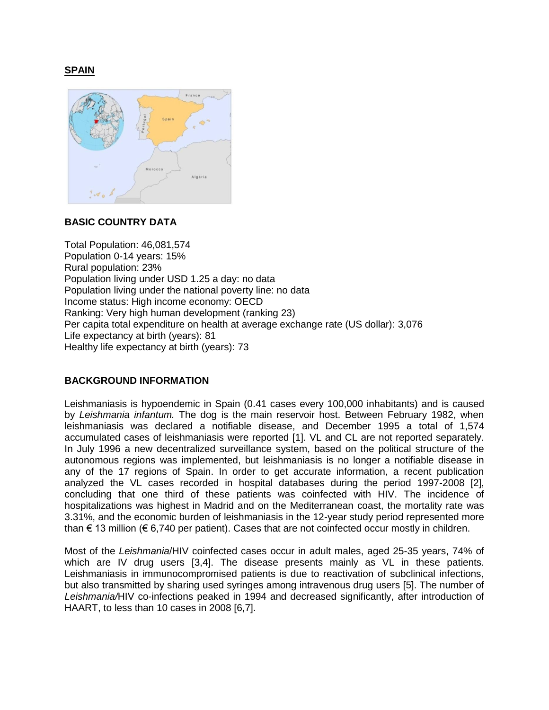## **SPAIN**



# **BASIC COUNTRY DATA**

Total Population: 46,081,574 Population 0-14 years: 15% Rural population: 23% Population living under USD 1.25 a day: no data Population living under the national poverty line: no data Income status: High income economy: OECD Ranking: Very high human development (ranking 23) Per capita total expenditure on health at average exchange rate (US dollar): 3,076 Life expectancy at birth (years): 81 Healthy life expectancy at birth (years): 73

# **BACKGROUND INFORMATION**

Leishmaniasis is hypoendemic in Spain (0.41 cases every 100,000 inhabitants) and is caused by *Leishmania infantum.* The dog is the main reservoir host. Between February 1982, when leishmaniasis was declared a notifiable disease, and December 1995 a total of 1,574 accumulated cases of leishmaniasis were reported [1]. VL and CL are not reported separately. In July 1996 a new decentralized surveillance system, based on the political structure of the autonomous regions was implemented, but leishmaniasis is no longer a notifiable disease in any of the 17 regions of Spain. In order to get accurate information, a recent publication analyzed the VL cases recorded in hospital databases during the period 1997-2008 [2], concluding that one third of these patients was coinfected with HIV. The incidence of hospitalizations was highest in Madrid and on the Mediterranean coast, the mortality rate was 3.31%, and the economic burden of leishmaniasis in the 12-year study period represented more than  $\epsilon$  13 million ( $\epsilon$  6,740 per patient). Cases that are not coinfected occur mostly in children.

Most of the *Leishmania*/HIV coinfected cases occur in adult males, aged 25-35 years, 74% of which are IV drug users [3,4]. The disease presents mainly as VL in these patients. Leishmaniasis in immunocompromised patients is due to reactivation of subclinical infections, but also transmitted by sharing used syringes among intravenous drug users [5]. The number of *Leishmania/*HIV co-infections peaked in 1994 and decreased significantly, after introduction of HAART, to less than 10 cases in 2008 [6,7].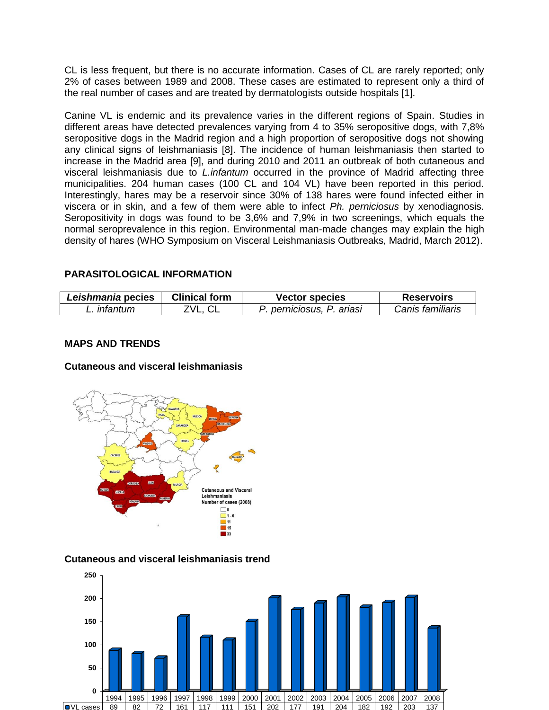CL is less frequent, but there is no accurate information. Cases of CL are rarely reported; only 2% of cases between 1989 and 2008. These cases are estimated to represent only a third of the real number of cases and are treated by dermatologists outside hospitals [1].

Canine VL is endemic and its prevalence varies in the different regions of Spain. Studies in different areas have detected prevalences varying from 4 to 35% seropositive dogs, with 7,8% seropositive dogs in the Madrid region and a high proportion of seropositive dogs not showing any clinical signs of leishmaniasis [8]. The incidence of human leishmaniasis then started to increase in the Madrid area [9], and during 2010 and 2011 an outbreak of both cutaneous and visceral leishmaniasis due to *L.infantum* occurred in the province of Madrid affecting three municipalities. 204 human cases (100 CL and 104 VL) have been reported in this period. Interestingly, hares may be a reservoir since 30% of 138 hares were found infected either in viscera or in skin, and a few of them were able to infect *Ph. perniciosus* by xenodiagnosis. Seropositivity in dogs was found to be 3,6% and 7,9% in two screenings, which equals the normal seroprevalence in this region. Environmental man-made changes may explain the high density of hares (WHO Symposium on Visceral Leishmaniasis Outbreaks, Madrid, March 2012).

# **PARASITOLOGICAL INFORMATION**

| Leishmania pecies | Clinical form | <b>Vector species</b>            | <b>Reservoirs</b> |
|-------------------|---------------|----------------------------------|-------------------|
| <i>intantum</i>   | 7\/I          | P. ariasi<br><i>perniciosus.</i> | Canis familiaris  |

# **MAPS AND TRENDS**

# **Cutaneous and visceral leishmaniasis**



### **Cutaneous and visceral leishmaniasis trend**

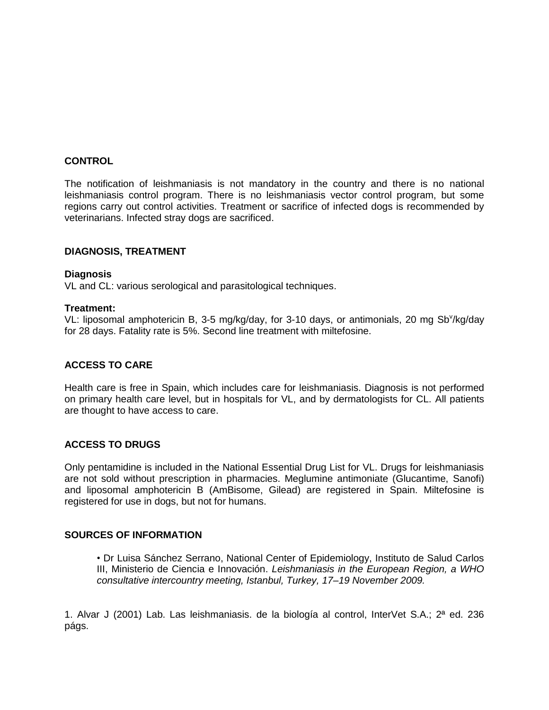### **CONTROL**

The notification of leishmaniasis is not mandatory in the country and there is no national leishmaniasis control program. There is no leishmaniasis vector control program, but some regions carry out control activities. Treatment or sacrifice of infected dogs is recommended by veterinarians. Infected stray dogs are sacrificed.

### **DIAGNOSIS, TREATMENT**

### **Diagnosis**

VL and CL: various serological and parasitological techniques.

#### **Treatment:**

VL: liposomal amphotericin B, 3-5 mg/kg/day, for 3-10 days, or antimonials, 20 mg Sb<sup>v</sup>/kg/day for 28 days. Fatality rate is 5%. Second line treatment with miltefosine.

### **ACCESS TO CARE**

Health care is free in Spain, which includes care for leishmaniasis. Diagnosis is not performed on primary health care level, but in hospitals for VL, and by dermatologists for CL. All patients are thought to have access to care.

### **ACCESS TO DRUGS**

Only pentamidine is included in the National Essential Drug List for VL. Drugs for leishmaniasis are not sold without prescription in pharmacies. Meglumine antimoniate (Glucantime, Sanofi) and liposomal amphotericin B (AmBisome, Gilead) are registered in Spain. Miltefosine is registered for use in dogs, but not for humans.

### **SOURCES OF INFORMATION**

• Dr Luisa Sánchez Serrano, National Center of Epidemiology, Instituto de Salud Carlos III, Ministerio de Ciencia e Innovación. *Leishmaniasis in the European Region, a WHO consultative intercountry meeting, Istanbul, Turkey, 17–19 November 2009.*

1. Alvar J (2001) Lab. Las leishmaniasis. de la biología al control, InterVet S.A.; 2ª ed. 236 págs.